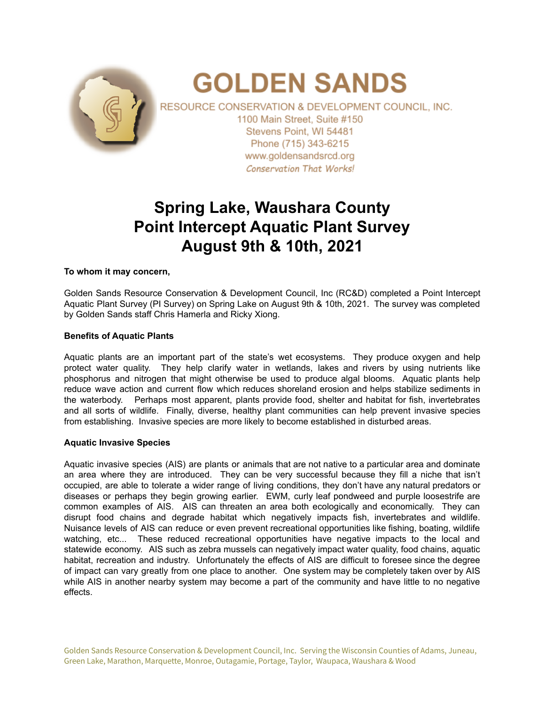

# **GOLDEN SANDS**

RESOURCE CONSERVATION & DEVELOPMENT COUNCIL, INC. 1100 Main Street. Suite #150 Stevens Point, WI 54481 Phone (715) 343-6215 www.goldensandsrcd.org **Conservation That Works!** 

# **Spring Lake, Waushara County Point Intercept Aquatic Plant Survey August 9th & 10th, 2021**

### **To whom it may concern,**

Golden Sands Resource Conservation & Development Council, Inc (RC&D) completed a Point Intercept Aquatic Plant Survey (PI Survey) on Spring Lake on August 9th & 10th, 2021. The survey was completed by Golden Sands staff Chris Hamerla and Ricky Xiong.

## **Benefits of Aquatic Plants**

Aquatic plants are an important part of the state's wet ecosystems. They produce oxygen and help protect water quality. They help clarify water in wetlands, lakes and rivers by using nutrients like phosphorus and nitrogen that might otherwise be used to produce algal blooms. Aquatic plants help reduce wave action and current flow which reduces shoreland erosion and helps stabilize sediments in the waterbody. Perhaps most apparent, plants provide food, shelter and habitat for fish, invertebrates and all sorts of wildlife. Finally, diverse, healthy plant communities can help prevent invasive species from establishing. Invasive species are more likely to become established in disturbed areas.

### **Aquatic Invasive Species**

Aquatic invasive species (AIS) are plants or animals that are not native to a particular area and dominate an area where they are introduced. They can be very successful because they fill a niche that isn't occupied, are able to tolerate a wider range of living conditions, they don't have any natural predators or diseases or perhaps they begin growing earlier. EWM, curly leaf pondweed and purple loosestrife are common examples of AIS. AIS can threaten an area both ecologically and economically. They can disrupt food chains and degrade habitat which negatively impacts fish, invertebrates and wildlife. Nuisance levels of AIS can reduce or even prevent recreational opportunities like fishing, boating, wildlife watching, etc... These reduced recreational opportunities have negative impacts to the local and statewide economy. AIS such as zebra mussels can negatively impact water quality, food chains, aquatic habitat, recreation and industry. Unfortunately the effects of AIS are difficult to foresee since the degree of impact can vary greatly from one place to another. One system may be completely taken over by AIS while AIS in another nearby system may become a part of the community and have little to no negative effects.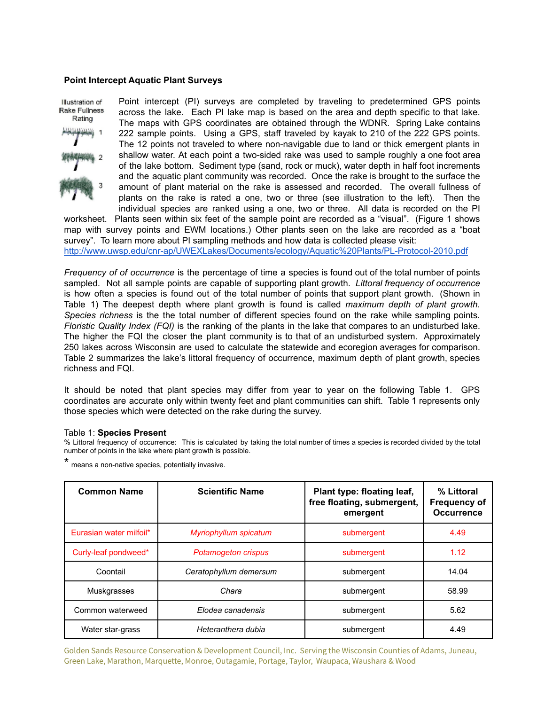#### **Point Intercept Aquatic Plant Surveys**

Illustration of Rake Fullness Rating

Point intercept (PI) surveys are completed by traveling to predetermined GPS points across the lake. Each PI lake map is based on the area and depth specific to that lake. The maps with GPS coordinates are obtained through the WDNR. Spring Lake contains 222 sample points. Using a GPS, staff traveled by kayak to 210 of the 222 GPS points. The 12 points not traveled to where non-navigable due to land or thick emergent plants in shallow water. At each point a two-sided rake was used to sample roughly a one foot area of the lake bottom. Sediment type (sand, rock or muck), water depth in half foot increments and the aquatic plant community was recorded. Once the rake is brought to the surface the amount of plant material on the rake is assessed and recorded. The overall fullness of plants on the rake is rated a one, two or three (see illustration to the left). Then the individual species are ranked using a one, two or three. All data is recorded on the PI

worksheet. Plants seen within six feet of the sample point are recorded as a "visual". (Figure 1 shows map with survey points and EWM locations.) Other plants seen on the lake are recorded as a "boat survey". To learn more about PI sampling methods and how data is collected please visit: <http://www.uwsp.edu/cnr-ap/UWEXLakes/Documents/ecology/Aquatic%20Plants/PL-Protocol-2010.pdf>

*Frequency of of occurrence* is the percentage of time a species is found out of the total number of points sampled. Not all sample points are capable of supporting plant growth. *Littoral frequency of occurrence* is how often a species is found out of the total number of points that support plant growth. (Shown in Table 1) The deepest depth where plant growth is found is called *maximum depth of plant growth*. *Species richness* is the the total number of different species found on the rake while sampling points. *Floristic Quality Index (FQI)* is the ranking of the plants in the lake that compares to an undisturbed lake. The higher the FQI the closer the plant community is to that of an undisturbed system. Approximately 250 lakes across Wisconsin are used to calculate the statewide and ecoregion averages for comparison. Table 2 summarizes the lake's littoral frequency of occurrence, maximum depth of plant growth, species richness and FQI.

It should be noted that plant species may differ from year to year on the following Table 1. GPS coordinates are accurate only within twenty feet and plant communities can shift. Table 1 represents only those species which were detected on the rake during the survey.

#### Table 1: **Species Present**

% Littoral frequency of occurrence: This is calculated by taking the total number of times a species is recorded divided by the total number of points in the lake where plant growth is possible.

\* means <sup>a</sup> non-native species, potentially invasive.

| <b>Common Name</b>      | <b>Scientific Name</b>     | Plant type: floating leaf,<br>free floating, submergent,<br>emergent | % Littoral<br><b>Frequency of</b><br><b>Occurrence</b> |
|-------------------------|----------------------------|----------------------------------------------------------------------|--------------------------------------------------------|
| Eurasian water milfoil* | Myriophyllum spicatum      | submergent                                                           | 4.49                                                   |
| Curly-leaf pondweed*    | <b>Potamogeton crispus</b> | submergent                                                           | 1.12                                                   |
| Coontail                | Ceratophyllum demersum     | submergent                                                           | 14.04                                                  |
| <b>Muskgrasses</b>      | Chara                      | submergent                                                           | 58.99                                                  |
| Common waterweed        | Elodea canadensis          | submergent                                                           | 5.62                                                   |
| Water star-grass        | Heteranthera dubia         | submergent                                                           | 4.49                                                   |

Golden Sands Resource Conservation & Development Council, Inc. Serving the Wisconsin Counties of Adams, Juneau, Green Lake, Marathon, Marquette, Monroe, Outagamie, Portage, Taylor, Waupaca, Waushara & Wood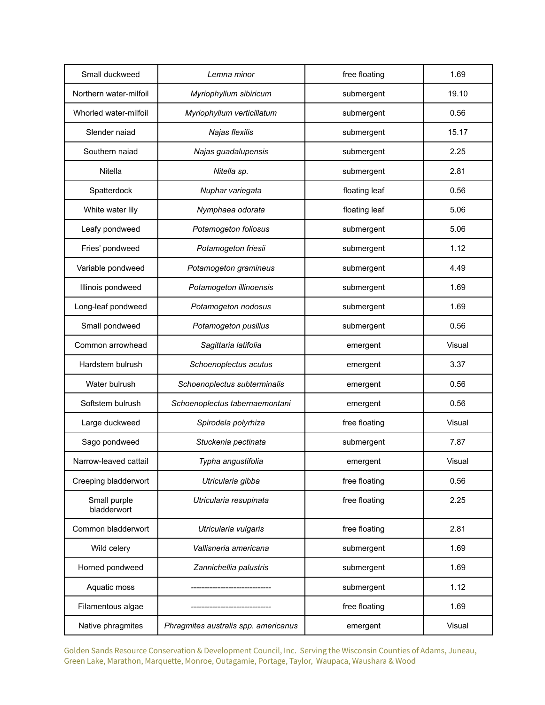| Small duckweed              | Lemna minor                          | free floating | 1.69   |
|-----------------------------|--------------------------------------|---------------|--------|
| Northern water-milfoil      | Myriophyllum sibiricum               | submergent    | 19.10  |
| Whorled water-milfoil       | Myriophyllum verticillatum           | submergent    | 0.56   |
| Slender naiad               | Najas flexilis                       | submergent    | 15.17  |
| Southern naiad              | Najas guadalupensis                  | submergent    | 2.25   |
| Nitella                     | Nitella sp.                          | submergent    | 2.81   |
| Spatterdock                 | Nuphar variegata                     | floating leaf | 0.56   |
| White water lily            | Nymphaea odorata                     | floating leaf | 5.06   |
| Leafy pondweed              | Potamogeton foliosus                 | submergent    | 5.06   |
| Fries' pondweed             | Potamogeton friesii                  | submergent    | 1.12   |
| Variable pondweed           | Potamogeton gramineus                | submergent    | 4.49   |
| Illinois pondweed           | Potamogeton illinoensis              | submergent    | 1.69   |
| Long-leaf pondweed          | Potamogeton nodosus                  | submergent    | 1.69   |
| Small pondweed              | Potamogeton pusillus                 | submergent    | 0.56   |
| Common arrowhead            | Sagittaria latifolia                 | emergent      | Visual |
| Hardstem bulrush            | Schoenoplectus acutus                | emergent      | 3.37   |
| Water bulrush               | Schoenoplectus subterminalis         | emergent      | 0.56   |
| Softstem bulrush            | Schoenoplectus tabernaemontani       | emergent      | 0.56   |
| Large duckweed              | Spirodela polyrhiza                  | free floating | Visual |
| Sago pondweed               | Stuckenia pectinata                  | submergent    | 7.87   |
| Narrow-leaved cattail       | Typha angustifolia                   | emergent      | Visual |
| Creeping bladderwort        | Utricularia gibba                    | free floating | 0.56   |
| Small purple<br>bladderwort | Utricularia resupinata               | free floating |        |
| Common bladderwort          | Utricularia vulgaris                 | free floating | 2.81   |
| Wild celery                 | Vallisneria americana                | submergent    | 1.69   |
| Horned pondweed             | Zannichellia palustris               | submergent    | 1.69   |
| Aquatic moss                |                                      | submergent    | 1.12   |
| Filamentous algae           |                                      | free floating | 1.69   |
| Native phragmites           | Phragmites australis spp. americanus | emergent      | Visual |

Golden Sands Resource Conservation & Development Council, Inc. Serving the Wisconsin Counties of Adams, Juneau, Green Lake, Marathon, Marquette, Monroe, Outagamie, Portage, Taylor, Waupaca, Waushara & Wood